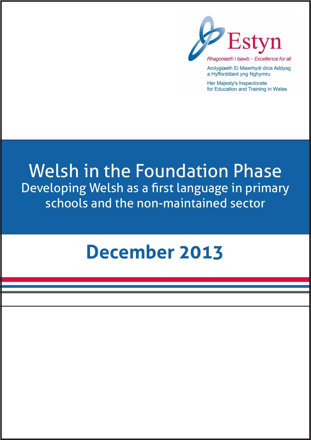

Arolygiaeth Ei Mawrhydi dros Addysg a Hyfforddiant yng Nghymru

Her Majesty's Inspectorate for Education and Training in Wales

# Welsh in the Foundation Phase Developing Welsh as a first language in primary schools and the non-maintained sector

# **December 2013**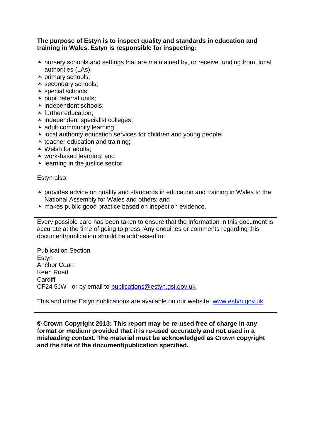#### **The purpose of Estyn is to inspect quality and standards in education and training in Wales. Estyn is responsible for inspecting:**

- $\lambda$  nursery schools and settings that are maintained by, or receive funding from, local authorities (LAs);
- $\overline{\phantom{a}}$  primary schools;
- secondary schools;
- $\triangle$  special schools:
- $\blacktriangle$  pupil referral units;
- $\overline{\phantom{a}}$  independent schools;
- $\blacktriangle$  further education:
- $\overline{\phantom{a}}$  independent specialist colleges;
- $\blacktriangle$  adult community learning;
- $\lambda$  local authority education services for children and young people;
- $\triangle$  teacher education and training:
- Welsh for adults;
- work-based learning; and
- $\blacktriangle$  learning in the justice sector.

Estyn also:

- $\overline{\phantom{a}}$  provides advice on quality and standards in education and training in Wales to the National Assembly for Wales and others; and
- $\lambda$  makes public good practice based on inspection evidence.

Every possible care has been taken to ensure that the information in this document is accurate at the time of going to press. Any enquiries or comments regarding this document/publication should be addressed to:

Publication Section Estyn Anchor Court Keen Road Cardiff CF24 5JW or by email to [publications@estyn.gsi.gov.uk](mailto:publications@estyn.gsi.gov.uk)

This and other Estyn publications are available on our website: www.estyn.gov.uk

**© Crown Copyright 2013: This report may be re-used free of charge in any format or medium provided that it is re-used accurately and not used in a misleading context. The material must be acknowledged as Crown copyright and the title of the document/publication specified.**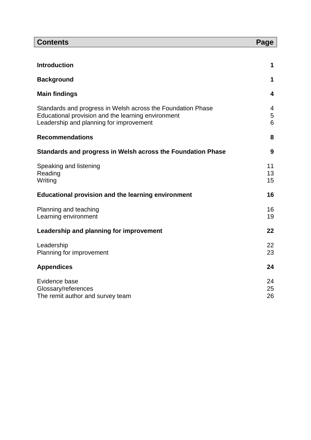| <b>Contents</b>                                                                                                                                              | Page           |
|--------------------------------------------------------------------------------------------------------------------------------------------------------------|----------------|
|                                                                                                                                                              |                |
| <b>Introduction</b>                                                                                                                                          | 1              |
| <b>Background</b>                                                                                                                                            | 1              |
| <b>Main findings</b>                                                                                                                                         | 4              |
| Standards and progress in Welsh across the Foundation Phase<br>Educational provision and the learning environment<br>Leadership and planning for improvement | 4<br>5<br>6    |
| <b>Recommendations</b>                                                                                                                                       | 8              |
| Standards and progress in Welsh across the Foundation Phase                                                                                                  | 9              |
| Speaking and listening<br>Reading<br>Writing                                                                                                                 | 11<br>13<br>15 |
| <b>Educational provision and the learning environment</b>                                                                                                    | 16             |
| Planning and teaching<br>Learning environment                                                                                                                | 16<br>19       |
| Leadership and planning for improvement                                                                                                                      | 22             |
| Leadership<br>Planning for improvement                                                                                                                       | 22<br>23       |
| <b>Appendices</b>                                                                                                                                            | 24             |
| Evidence base<br>Glossary/references<br>The remit author and survey team                                                                                     | 24<br>25<br>26 |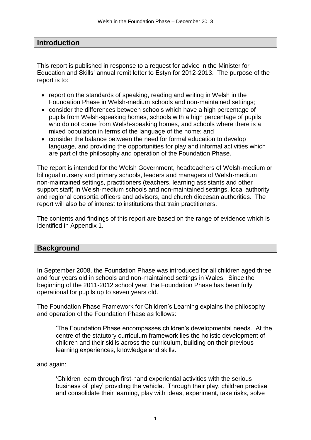# **Introduction**

This report is published in response to a request for advice in the Minister for Education and Skills' annual remit letter to Estyn for 2012-2013. The purpose of the report is to:

- report on the standards of speaking, reading and writing in Welsh in the Foundation Phase in Welsh-medium schools and non-maintained settings;
- consider the differences between schools which have a high percentage of pupils from Welsh-speaking homes, schools with a high percentage of pupils who do not come from Welsh-speaking homes, and schools where there is a mixed population in terms of the language of the home; and
- consider the balance between the need for formal education to develop language, and providing the opportunities for play and informal activities which are part of the philosophy and operation of the Foundation Phase.

The report is intended for the Welsh Government, headteachers of Welsh-medium or bilingual nursery and primary schools, leaders and managers of Welsh-medium non-maintained settings, practitioners (teachers, learning assistants and other support staff) in Welsh-medium schools and non-maintained settings, local authority and regional consortia officers and advisors, and church diocesan authorities. The report will also be of interest to institutions that train practitioners.

The contents and findings of this report are based on the range of evidence which is identified in Appendix 1.

# **Background**

In September 2008, the Foundation Phase was introduced for all children aged three and four years old in schools and non-maintained settings in Wales. Since the beginning of the 2011-2012 school year, the Foundation Phase has been fully operational for pupils up to seven years old.

The Foundation Phase Framework for Children's Learning explains the philosophy and operation of the Foundation Phase as follows:

'The Foundation Phase encompasses children's developmental needs. At the centre of the statutory curriculum framework lies the holistic development of children and their skills across the curriculum, building on their previous learning experiences, knowledge and skills.'

and again:

'Children learn through first-hand experiential activities with the serious business of 'play' providing the vehicle. Through their play, children practise and consolidate their learning, play with ideas, experiment, take risks, solve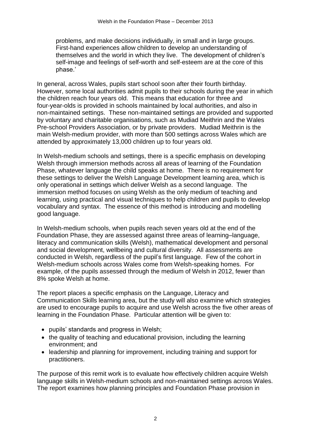problems, and make decisions individually, in small and in large groups. First-hand experiences allow children to develop an understanding of themselves and the world in which they live. The development of children's self-image and feelings of self-worth and self-esteem are at the core of this phase.'

In general, across Wales, pupils start school soon after their fourth birthday. However, some local authorities admit pupils to their schools during the year in which the children reach four years old. This means that education for three and four-year-olds is provided in schools maintained by local authorities, and also in non-maintained settings. These non-maintained settings are provided and supported by voluntary and charitable organisations, such as Mudiad Meithrin and the Wales Pre-school Providers Association, or by private providers. Mudiad Meithrin is the main Welsh-medium provider, with more than 500 settings across Wales which are attended by approximately 13,000 children up to four years old.

In Welsh-medium schools and settings, there is a specific emphasis on developing Welsh through immersion methods across all areas of learning of the Foundation Phase, whatever language the child speaks at home. There is no requirement for these settings to deliver the Welsh Language Development learning area, which is only operational in settings which deliver Welsh as a second language. The immersion method focuses on using Welsh as the only medium of teaching and learning, using practical and visual techniques to help children and pupils to develop vocabulary and syntax. The essence of this method is introducing and modelling good language.

In Welsh-medium schools, when pupils reach seven years old at the end of the Foundation Phase, they are assessed against three areas of learning–language, literacy and communication skills (Welsh), mathematical development and personal and social development, wellbeing and cultural diversity. All assessments are conducted in Welsh, regardless of the pupil's first language. Few of the cohort in Welsh-medium schools across Wales come from Welsh-speaking homes. For example, of the pupils assessed through the medium of Welsh in 2012, fewer than 8% spoke Welsh at home.

The report places a specific emphasis on the Language, Literacy and Communication Skills learning area, but the study will also examine which strategies are used to encourage pupils to acquire and use Welsh across the five other areas of learning in the Foundation Phase. Particular attention will be given to:

- pupils' standards and progress in Welsh;
- the quality of teaching and educational provision, including the learning environment; and
- leadership and planning for improvement, including training and support for practitioners.

The purpose of this remit work is to evaluate how effectively children acquire Welsh language skills in Welsh-medium schools and non-maintained settings across Wales. The report examines how planning principles and Foundation Phase provision in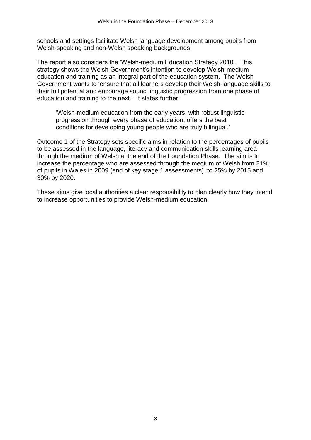schools and settings facilitate Welsh language development among pupils from Welsh-speaking and non-Welsh speaking backgrounds.

The report also considers the 'Welsh-medium Education Strategy 2010'. This strategy shows the Welsh Government's intention to develop Welsh-medium education and training as an integral part of the education system. The Welsh Government wants to 'ensure that all learners develop their Welsh-language skills to their full potential and encourage sound linguistic progression from one phase of education and training to the next.' It states further:

'Welsh-medium education from the early years, with robust linguistic progression through every phase of education, offers the best conditions for developing young people who are truly bilingual.'

Outcome 1 of the Strategy sets specific aims in relation to the percentages of pupils to be assessed in the language, literacy and communication skills learning area through the medium of Welsh at the end of the Foundation Phase. The aim is to increase the percentage who are assessed through the medium of Welsh from 21% of pupils in Wales in 2009 (end of key stage 1 assessments), to 25% by 2015 and 30% by 2020.

These aims give local authorities a clear responsibility to plan clearly how they intend to increase opportunities to provide Welsh-medium education.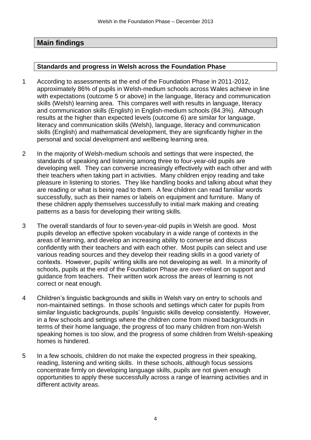# **Main findings**

#### **Standards and progress in Welsh across the Foundation Phase**

- 1 According to assessments at the end of the Foundation Phase in 2011-2012, approximately 86% of pupils in Welsh-medium schools across Wales achieve in line with expectations (outcome 5 or above) in the language, literacy and communication skills (Welsh) learning area. This compares well with results in language, literacy and communication skills (English) in English-medium schools (84.3%). Although results at the higher than expected levels (outcome 6) are similar for language, literacy and communication skills (Welsh), language, literacy and communication skills (English) and mathematical development, they are significantly higher in the personal and social development and wellbeing learning area.
- 2 In the majority of Welsh-medium schools and settings that were inspected, the standards of speaking and listening among three to four-year-old pupils are developing well. They can converse increasingly effectively with each other and with their teachers when taking part in activities. Many children enjoy reading and take pleasure in listening to stories. They like handling books and talking about what they are reading or what is being read to them. A few children can read familiar words successfully, such as their names or labels on equipment and furniture. Many of these children apply themselves successfully to initial mark making and creating patterns as a basis for developing their writing skills.
- 3 The overall standards of four to seven-year-old pupils in Welsh are good. Most pupils develop an effective spoken vocabulary in a wide range of contexts in the areas of learning, and develop an increasing ability to converse and discuss confidently with their teachers and with each other. Most pupils can select and use various reading sources and they develop their reading skills in a good variety of contexts. However, pupils' writing skills are not developing as well. In a minority of schools, pupils at the end of the Foundation Phase are over-reliant on support and guidance from teachers. Their written work across the areas of learning is not correct or neat enough.
- 4 Children's linguistic backgrounds and skills in Welsh vary on entry to schools and non-maintained settings. In those schools and settings which cater for pupils from similar linguistic backgrounds, pupils' linguistic skills develop consistently. However, in a few schools and settings where the children come from mixed backgrounds in terms of their home language, the progress of too many children from non-Welsh speaking homes is too slow, and the progress of some children from Welsh-speaking homes is hindered.
- 5 In a few schools, children do not make the expected progress in their speaking, reading, listening and writing skills. In these schools, although focus sessions concentrate firmly on developing language skills, pupils are not given enough opportunities to apply these successfully across a range of learning activities and in different activity areas.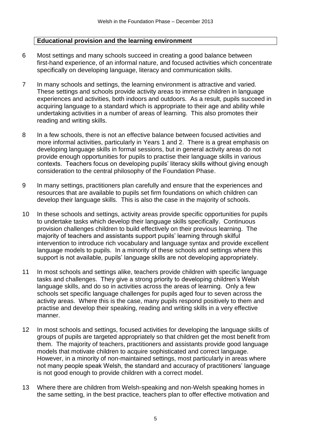#### **Educational provision and the learning environment**

- 6 Most settings and many schools succeed in creating a good balance between first-hand experience, of an informal nature, and focused activities which concentrate specifically on developing language, literacy and communication skills.
- 7 In many schools and settings, the learning environment is attractive and varied. These settings and schools provide activity areas to immerse children in language experiences and activities, both indoors and outdoors. As a result, pupils succeed in acquiring language to a standard which is appropriate to their age and ability while undertaking activities in a number of areas of learning. This also promotes their reading and writing skills.
- 8 In a few schools, there is not an effective balance between focused activities and more informal activities, particularly in Years 1 and 2. There is a great emphasis on developing language skills in formal sessions, but in general activity areas do not provide enough opportunities for pupils to practise their language skills in various contexts. Teachers focus on developing pupils' literacy skills without giving enough consideration to the central philosophy of the Foundation Phase.
- 9 In many settings, practitioners plan carefully and ensure that the experiences and resources that are available to pupils set firm foundations on which children can develop their language skills. This is also the case in the majority of schools.
- 10 In these schools and settings, activity areas provide specific opportunities for pupils to undertake tasks which develop their language skills specifically. Continuous provision challenges children to build effectively on their previous learning. The majority of teachers and assistants support pupils' learning through skilful intervention to introduce rich vocabulary and language syntax and provide excellent language models to pupils. In a minority of these schools and settings where this support is not available, pupils' language skills are not developing appropriately.
- 11 In most schools and settings alike, teachers provide children with specific language tasks and challenges. They give a strong priority to developing children's Welsh language skills, and do so in activities across the areas of learning. Only a few schools set specific language challenges for pupils aged four to seven across the activity areas. Where this is the case, many pupils respond positively to them and practise and develop their speaking, reading and writing skills in a very effective manner.
- 12 In most schools and settings, focused activities for developing the language skills of groups of pupils are targeted appropriately so that children get the most benefit from them. The majority of teachers, practitioners and assistants provide good language models that motivate children to acquire sophisticated and correct language. However, in a minority of non-maintained settings, most particularly in areas where not many people speak Welsh, the standard and accuracy of practitioners' language is not good enough to provide children with a correct model.
- 13 Where there are children from Welsh-speaking and non-Welsh speaking homes in the same setting, in the best practice, teachers plan to offer effective motivation and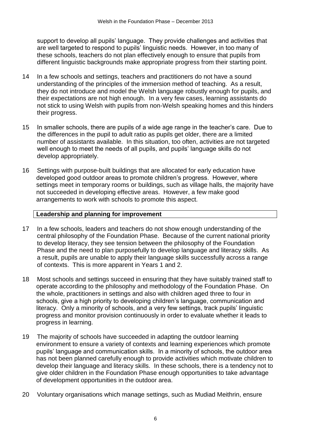support to develop all pupils' language. They provide challenges and activities that are well targeted to respond to pupils' linguistic needs. However, in too many of these schools, teachers do not plan effectively enough to ensure that pupils from different linguistic backgrounds make appropriate progress from their starting point.

- 14 In a few schools and settings, teachers and practitioners do not have a sound understanding of the principles of the immersion method of teaching. As a result, they do not introduce and model the Welsh language robustly enough for pupils, and their expectations are not high enough. In a very few cases, learning assistants do not stick to using Welsh with pupils from non-Welsh speaking homes and this hinders their progress.
- 15 In smaller schools, there are pupils of a wide age range in the teacher's care. Due to the differences in the pupil to adult ratio as pupils get older, there are a limited number of assistants available. In this situation, too often, activities are not targeted well enough to meet the needs of all pupils, and pupils' language skills do not develop appropriately.
- 16 Settings with purpose-built buildings that are allocated for early education have developed good outdoor areas to promote children's progress. However, where settings meet in temporary rooms or buildings, such as village halls, the majority have not succeeded in developing effective areas. However, a few make good arrangements to work with schools to promote this aspect.

#### **Leadership and planning for improvement**

- 17 In a few schools, leaders and teachers do not show enough understanding of the central philosophy of the Foundation Phase. Because of the current national priority to develop literacy, they see tension between the philosophy of the Foundation Phase and the need to plan purposefully to develop language and literacy skills. As a result, pupils are unable to apply their language skills successfully across a range of contexts. This is more apparent in Years 1 and 2.
- 18 Most schools and settings succeed in ensuring that they have suitably trained staff to operate according to the philosophy and methodology of the Foundation Phase. On the whole, practitioners in settings and also with children aged three to four in schools, give a high priority to developing children's language, communication and literacy. Only a minority of schools, and a very few settings, track pupils' linguistic progress and monitor provision continuously in order to evaluate whether it leads to progress in learning.
- 19 The majority of schools have succeeded in adapting the outdoor learning environment to ensure a variety of contexts and learning experiences which promote pupils' language and communication skills. In a minority of schools, the outdoor area has not been planned carefully enough to provide activities which motivate children to develop their language and literacy skills. In these schools, there is a tendency not to give older children in the Foundation Phase enough opportunities to take advantage of development opportunities in the outdoor area.
- 20 Voluntary organisations which manage settings, such as Mudiad Meithrin, ensure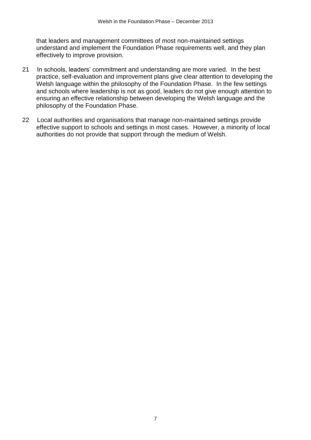that leaders and management committees of most non-maintained settings understand and implement the Foundation Phase requirements well, and they plan effectively to improve provision.

- 21 In schools, leaders' commitment and understanding are more varied. In the best practice, self-evaluation and improvement plans give clear attention to developing the Welsh language within the philosophy of the Foundation Phase. In the few settings and schools where leadership is not as good, leaders do not give enough attention to ensuring an effective relationship between developing the Welsh language and the philosophy of the Foundation Phase.
- 22 Local authorities and organisations that manage non-maintained settings provide effective support to schools and settings in most cases. However, a minority of local authorities do not provide that support through the medium of Welsh.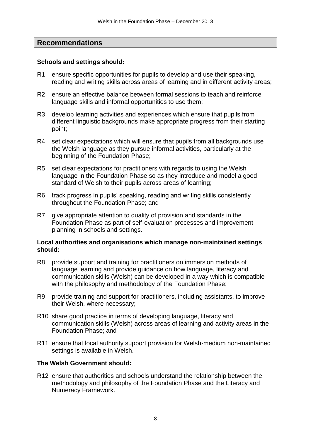# **Recommendations**

#### **Schools and settings should:**

- R1 ensure specific opportunities for pupils to develop and use their speaking, reading and writing skills across areas of learning and in different activity areas;
- R2 ensure an effective balance between formal sessions to teach and reinforce language skills and informal opportunities to use them;
- R3 develop learning activities and experiences which ensure that pupils from different linguistic backgrounds make appropriate progress from their starting point;
- R4 set clear expectations which will ensure that pupils from all backgrounds use the Welsh language as they pursue informal activities, particularly at the beginning of the Foundation Phase;
- R5 set clear expectations for practitioners with regards to using the Welsh language in the Foundation Phase so as they introduce and model a good standard of Welsh to their pupils across areas of learning;
- R6 track progress in pupils' speaking, reading and writing skills consistently throughout the Foundation Phase; and
- R7 give appropriate attention to quality of provision and standards in the Foundation Phase as part of self-evaluation processes and improvement planning in schools and settings.

#### **Local authorities and organisations which manage non-maintained settings should:**

- R8 provide support and training for practitioners on immersion methods of language learning and provide guidance on how language, literacy and communication skills (Welsh) can be developed in a way which is compatible with the philosophy and methodology of the Foundation Phase;
- R9 provide training and support for practitioners, including assistants, to improve their Welsh, where necessary;
- R10 share good practice in terms of developing language, literacy and communication skills (Welsh) across areas of learning and activity areas in the Foundation Phase; and
- R11 ensure that local authority support provision for Welsh-medium non-maintained settings is available in Welsh.

#### **The Welsh Government should:**

R12 ensure that authorities and schools understand the relationship between the methodology and philosophy of the Foundation Phase and the Literacy and Numeracy Framework.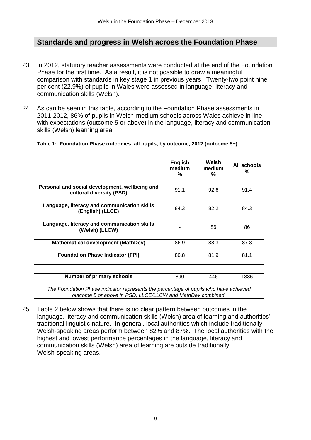# **Standards and progress in Welsh across the Foundation Phase**

- 23 In 2012, statutory teacher assessments were conducted at the end of the Foundation Phase for the first time. As a result, it is not possible to draw a meaningful comparison with standards in key stage 1 in previous years. Twenty-two point nine per cent (22.9%) of pupils in Wales were assessed in language, literacy and communication skills (Welsh).
- 24 As can be seen in this table, according to the Foundation Phase assessments in 2011-2012, 86% of pupils in Welsh-medium schools across Wales achieve in line with expectations (outcome 5 or above) in the language, literacy and communication skills (Welsh) learning area.

|                                                                                                                                                    | <b>English</b><br>medium<br>% | Welsh<br>medium<br>℅ | All schools<br>% |
|----------------------------------------------------------------------------------------------------------------------------------------------------|-------------------------------|----------------------|------------------|
| Personal and social development, wellbeing and<br>cultural diversity (PSD)                                                                         | 91.1                          | 92.6                 | 91.4             |
| Language, literacy and communication skills<br>(English) (LLCE)                                                                                    | 84.3                          | 82.2                 | 84.3             |
| Language, literacy and communication skills<br>(Welsh) (LLCW)                                                                                      |                               | 86                   | 86               |
| <b>Mathematical development (MathDev)</b>                                                                                                          | 86.9                          | 88.3                 | 87.3             |
| <b>Foundation Phase Indicator (FPI)</b>                                                                                                            | 80.8                          | 81.9                 | 81.1             |
|                                                                                                                                                    |                               |                      |                  |
| <b>Number of primary schools</b>                                                                                                                   | 890                           | 446                  | 1336             |
| The Foundation Phase indicator represents the percentage of pupils who have achieved<br>outcome 5 or above in PSD, LLCE/LLCW and MathDev combined. |                               |                      |                  |

#### **Table 1: Foundation Phase outcomes, all pupils, by outcome, 2012 (outcome 5+)**

25 Table 2 below shows that there is no clear pattern between outcomes in the language, literacy and communication skills (Welsh) area of learning and authorities' traditional linguistic nature. In general, local authorities which include traditionally Welsh-speaking areas perform between 82% and 87%. The local authorities with the highest and lowest performance percentages in the language, literacy and communication skills (Welsh) area of learning are outside traditionally Welsh-speaking areas.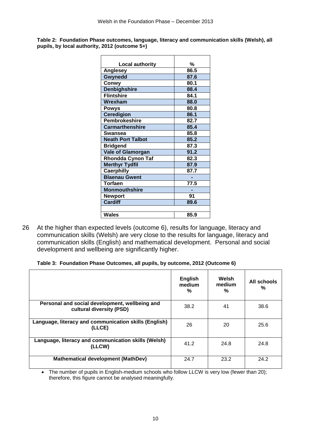**Table 2: Foundation Phase outcomes, language, literacy and communication skills (Welsh), all pupils, by local authority, 2012 (outcome 5+)**

| <b>Local authority</b>   | %    |
|--------------------------|------|
| <b>Anglesey</b>          | 86.5 |
| Gwynedd                  | 87.6 |
| Conwy                    | 80.1 |
| <b>Denbighshire</b>      | 88.4 |
| <b>Flintshire</b>        | 84.1 |
| Wrexham                  | 88.0 |
| Powys                    | 80.8 |
| <b>Ceredigion</b>        | 86.1 |
| <b>Pembrokeshire</b>     | 82.7 |
| <b>Carmarthenshire</b>   | 85.4 |
| Swansea                  | 85.8 |
| <b>Neath Port Talbot</b> | 85.2 |
| <b>Bridgend</b>          | 87.3 |
| <b>Vale of Glamorgan</b> | 91.2 |
| <b>Rhondda Cynon Taf</b> | 82.3 |
| <b>Merthyr Tydfil</b>    | 87.9 |
| <b>Caerphilly</b>        | 87.7 |
| <b>Blaenau Gwent</b>     |      |
| Torfaen                  | 77.5 |
| <b>Monmouthshire</b>     |      |
| <b>Newport</b>           | 91   |
| <b>Cardiff</b>           | 89.6 |
|                          |      |
| Wales                    | 85.9 |

26 At the higher than expected levels (outcome 6), results for language, literacy and communication skills (Welsh) are very close to the results for language, literacy and communication skills (English) and mathematical development. Personal and social development and wellbeing are significantly higher.

|  |  | Table 3: Foundation Phase Outcomes, all pupils, by outcome, 2012 (Outcome 6) |  |
|--|--|------------------------------------------------------------------------------|--|
|  |  |                                                                              |  |

|                                                                            | <b>English</b><br>medium<br>% | Welsh<br>medium<br>% | All schools<br>% |
|----------------------------------------------------------------------------|-------------------------------|----------------------|------------------|
| Personal and social development, wellbeing and<br>cultural diversity (PSD) | 38.2                          | 41                   | 38.6             |
| Language, literacy and communication skills (English)<br>(LLCE)            | 26                            | 20                   | 25.6             |
| Language, literacy and communication skills (Welsh)<br>(LLCW)              | 41.2                          | 24.8                 | 24.8             |
| <b>Mathematical development (MathDev)</b>                                  | 24.7                          | 23.2                 | 24.2             |

• The number of pupils in English-medium schools who follow LLCW is very low (fewer than 20); therefore, this figure cannot be analysed meaningfully.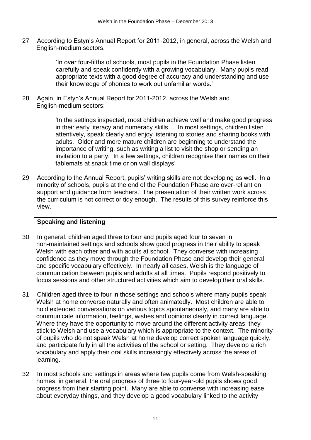27 According to Estyn's Annual Report for 2011-2012, in general, across the Welsh and English-medium sectors,

> 'In over four-fifths of schools, most pupils in the Foundation Phase listen carefully and speak confidently with a growing vocabulary. Many pupils read appropriate texts with a good degree of accuracy and understanding and use their knowledge of phonics to work out unfamiliar words.'

28 Again, in Estyn's Annual Report for 2011-2012, across the Welsh and English-medium sectors:

> 'In the settings inspected, most children achieve well and make good progress in their early literacy and numeracy skills… In most settings, children listen attentively, speak clearly and enjoy listening to stories and sharing books with adults. Older and more mature children are beginning to understand the importance of writing, such as writing a list to visit the shop or sending an invitation to a party. In a few settings, children recognise their names on their tablemats at snack time or on wall displays'

29 According to the Annual Report, pupils' writing skills are not developing as well. In a minority of schools, pupils at the end of the Foundation Phase are over-reliant on support and guidance from teachers. The presentation of their written work across the curriculum is not correct or tidy enough. The results of this survey reinforce this view.

#### **Speaking and listening**

- 30 In general, children aged three to four and pupils aged four to seven in non-maintained settings and schools show good progress in their ability to speak Welsh with each other and with adults at school. They converse with increasing confidence as they move through the Foundation Phase and develop their general and specific vocabulary effectively. In nearly all cases, Welsh is the language of communication between pupils and adults at all times. Pupils respond positively to focus sessions and other structured activities which aim to develop their oral skills.
- 31 Children aged three to four in those settings and schools where many pupils speak Welsh at home converse naturally and often animatedly. Most children are able to hold extended conversations on various topics spontaneously, and many are able to communicate information, feelings, wishes and opinions clearly in correct language. Where they have the opportunity to move around the different activity areas, they stick to Welsh and use a vocabulary which is appropriate to the context. The minority of pupils who do not speak Welsh at home develop correct spoken language quickly, and participate fully in all the activities of the school or setting. They develop a rich vocabulary and apply their oral skills increasingly effectively across the areas of learning.
- 32 In most schools and settings in areas where few pupils come from Welsh-speaking homes, in general, the oral progress of three to four-year-old pupils shows good progress from their starting point. Many are able to converse with increasing ease about everyday things, and they develop a good vocabulary linked to the activity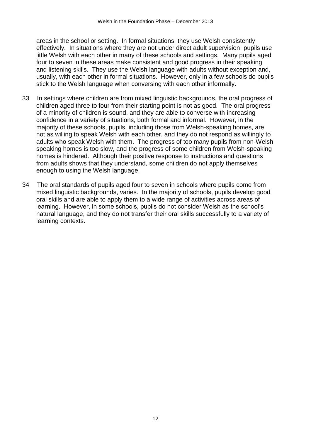areas in the school or setting. In formal situations, they use Welsh consistently effectively. In situations where they are not under direct adult supervision, pupils use little Welsh with each other in many of these schools and settings. Many pupils aged four to seven in these areas make consistent and good progress in their speaking and listening skills. They use the Welsh language with adults without exception and, usually, with each other in formal situations. However, only in a few schools do pupils stick to the Welsh language when conversing with each other informally.

- 33 In settings where children are from mixed linguistic backgrounds, the oral progress of children aged three to four from their starting point is not as good. The oral progress of a minority of children is sound, and they are able to converse with increasing confidence in a variety of situations, both formal and informal. However, in the majority of these schools, pupils, including those from Welsh-speaking homes, are not as willing to speak Welsh with each other, and they do not respond as willingly to adults who speak Welsh with them. The progress of too many pupils from non-Welsh speaking homes is too slow, and the progress of some children from Welsh-speaking homes is hindered. Although their positive response to instructions and questions from adults shows that they understand, some children do not apply themselves enough to using the Welsh language.
- 34 The oral standards of pupils aged four to seven in schools where pupils come from mixed linguistic backgrounds, varies. In the majority of schools, pupils develop good oral skills and are able to apply them to a wide range of activities across areas of learning. However, in some schools, pupils do not consider Welsh as the school's natural language, and they do not transfer their oral skills successfully to a variety of learning contexts.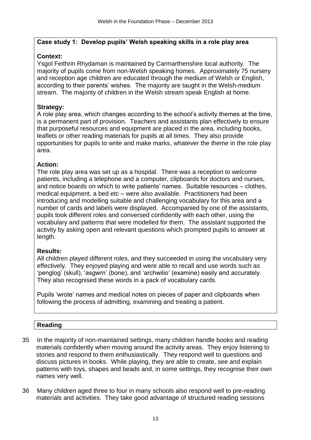# **Case study 1: Develop pupils' Welsh speaking skills in a role play area**

# **Context:**

Ysgol Feithrin Rhydaman is maintained by Carmarthenshire local authority. The majority of pupils come from non-Welsh speaking homes. Approximately 75 nursery and reception age children are educated through the medium of Welsh or English, according to their parents' wishes. The majority are taught in the Welsh-medium stream. The majority of children in the Welsh stream speak English at home.

# **Strategy:**

A role play area, which changes according to the school's activity themes at the time, is a permanent part of provision. Teachers and assistants plan effectively to ensure that purposeful resources and equipment are placed in the area, including books, leaflets or other reading materials for pupils at all times. They also provide opportunities for pupils to write and make marks, whatever the theme in the role play area.

#### **Action:**

The role play area was set up as a hospital. There was a reception to welcome patients, including a telephone and a computer, clipboards for doctors and nurses, and notice boards on which to write patients' names. Suitable resources – clothes, medical equipment, a bed etc – were also available. Practitioners had been introducing and modelling suitable and challenging vocabulary for this area and a number of cards and labels were displayed. Accompanied by one of the assistants, pupils took different roles and conversed confidently with each other, using the vocabulary and patterns that were modelled for them. The assistant supported the activity by asking open and relevant questions which prompted pupils to answer at length.

#### **Results:**

All children played different roles, and they succeeded in using the vocabulary very effectively. They enjoyed playing and were able to recall and use words such as 'penglog' (skull), 'asgwrn' (bone), and 'archwilio' (examine) easily and accurately. They also recognised these words in a pack of vocabulary cards.

Pupils 'wrote' names and medical notes on pieces of paper and clipboards when following the process of admitting, examining and treating a patient.

# **Reading**

- 35 In the majority of non-maintained settings, many children handle books and reading materials confidently when moving around the activity areas. They enjoy listening to stories and respond to them enthusiastically. They respond well to questions and discuss pictures in books. While playing, they are able to create, see and explain patterns with toys, shapes and beads and, in some settings, they recognise their own names very well.
- 36 Many children aged three to four in many schools also respond well to pre-reading materials and activities. They take good advantage of structured reading sessions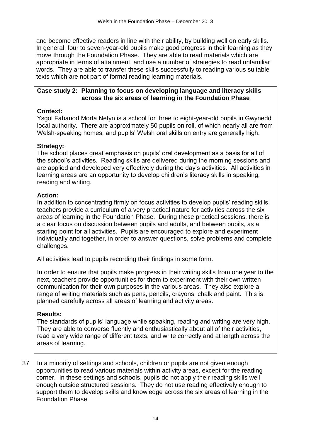and become effective readers in line with their ability, by building well on early skills. In general, four to seven-year-old pupils make good progress in their learning as they move through the Foundation Phase. They are able to read materials which are appropriate in terms of attainment, and use a number of strategies to read unfamiliar words. They are able to transfer these skills successfully to reading various suitable texts which are not part of formal reading learning materials.

#### **Case study 2: Planning to focus on developing language and literacy skills across the six areas of learning in the Foundation Phase**

## **Context:**

Ysgol Fabanod Morfa Nefyn is a school for three to eight-year-old pupils in Gwynedd local authority. There are approximately 50 pupils on roll, of which nearly all are from Welsh-speaking homes, and pupils' Welsh oral skills on entry are generally high.

#### **Strategy:**

The school places great emphasis on pupils' oral development as a basis for all of the school's activities. Reading skills are delivered during the morning sessions and are applied and developed very effectively during the day's activities. All activities in learning areas are an opportunity to develop children's literacy skills in speaking, reading and writing.

#### **Action:**

In addition to concentrating firmly on focus activities to develop pupils' reading skills, teachers provide a curriculum of a very practical nature for activities across the six areas of learning in the Foundation Phase. During these practical sessions, there is a clear focus on discussion between pupils and adults, and between pupils, as a starting point for all activities. Pupils are encouraged to explore and experiment individually and together, in order to answer questions, solve problems and complete challenges.

All activities lead to pupils recording their findings in some form.

In order to ensure that pupils make progress in their writing skills from one year to the next, teachers provide opportunities for them to experiment with their own written communication for their own purposes in the various areas. They also explore a range of writing materials such as pens, pencils, crayons, chalk and paint. This is planned carefully across all areas of learning and activity areas.

#### **Results:**

The standards of pupils' language while speaking, reading and writing are very high. They are able to converse fluently and enthusiastically about all of their activities, read a very wide range of different texts, and write correctly and at length across the areas of learning.

37 In a minority of settings and schools, children or pupils are not given enough opportunities to read various materials within activity areas, except for the reading corner. In these settings and schools, pupils do not apply their reading skills well enough outside structured sessions. They do not use reading effectively enough to support them to develop skills and knowledge across the six areas of learning in the Foundation Phase.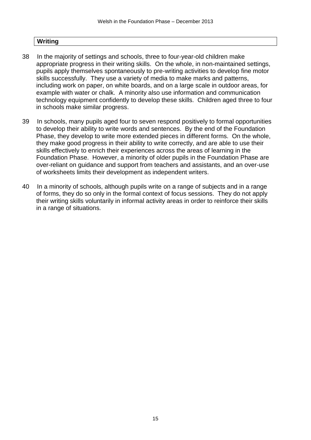#### **Writing**

- 38 In the majority of settings and schools, three to four-year-old children make appropriate progress in their writing skills. On the whole, in non-maintained settings, pupils apply themselves spontaneously to pre-writing activities to develop fine motor skills successfully. They use a variety of media to make marks and patterns, including work on paper, on white boards, and on a large scale in outdoor areas, for example with water or chalk. A minority also use information and communication technology equipment confidently to develop these skills. Children aged three to four in schools make similar progress.
- 39 In schools, many pupils aged four to seven respond positively to formal opportunities to develop their ability to write words and sentences. By the end of the Foundation Phase, they develop to write more extended pieces in different forms. On the whole, they make good progress in their ability to write correctly, and are able to use their skills effectively to enrich their experiences across the areas of learning in the Foundation Phase. However, a minority of older pupils in the Foundation Phase are over-reliant on guidance and support from teachers and assistants, and an over-use of worksheets limits their development as independent writers.
- 40 In a minority of schools, although pupils write on a range of subjects and in a range of forms, they do so only in the formal context of focus sessions. They do not apply their writing skills voluntarily in informal activity areas in order to reinforce their skills in a range of situations.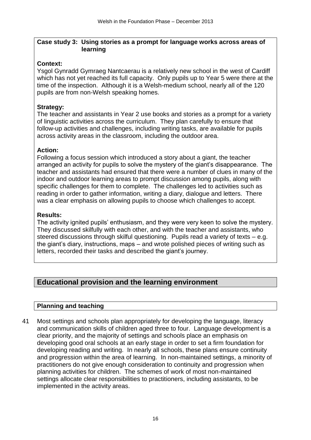#### **Case study 3: Using stories as a prompt for language works across areas of learning**

# **Context:**

Ysgol Gynradd Gymraeg Nantcaerau is a relatively new school in the west of Cardiff which has not yet reached its full capacity. Only pupils up to Year 5 were there at the time of the inspection. Although it is a Welsh-medium school, nearly all of the 120 pupils are from non-Welsh speaking homes.

# **Strategy:**

The teacher and assistants in Year 2 use books and stories as a prompt for a variety of linguistic activities across the curriculum. They plan carefully to ensure that follow-up activities and challenges, including writing tasks, are available for pupils across activity areas in the classroom, including the outdoor area.

# **Action:**

Following a focus session which introduced a story about a giant, the teacher arranged an activity for pupils to solve the mystery of the giant's disappearance. The teacher and assistants had ensured that there were a number of clues in many of the indoor and outdoor learning areas to prompt discussion among pupils, along with specific challenges for them to complete. The challenges led to activities such as reading in order to gather information, writing a diary, dialogue and letters. There was a clear emphasis on allowing pupils to choose which challenges to accept.

# **Results:**

The activity ignited pupils' enthusiasm, and they were very keen to solve the mystery. They discussed skilfully with each other, and with the teacher and assistants, who steered discussions through skilful questioning. Pupils read a variety of texts – e.g. the giant's diary, instructions, maps – and wrote polished pieces of writing such as letters, recorded their tasks and described the giant's journey.

# **Educational provision and the learning environment**

# **Planning and teaching**

41 Most settings and schools plan appropriately for developing the language, literacy and communication skills of children aged three to four. Language development is a clear priority, and the majority of settings and schools place an emphasis on developing good oral schools at an early stage in order to set a firm foundation for developing reading and writing. In nearly all schools, these plans ensure continuity and progression within the area of learning. In non-maintained settings, a minority of practitioners do not give enough consideration to continuity and progression when planning activities for children. The schemes of work of most non-maintained settings allocate clear responsibilities to practitioners, including assistants, to be implemented in the activity areas.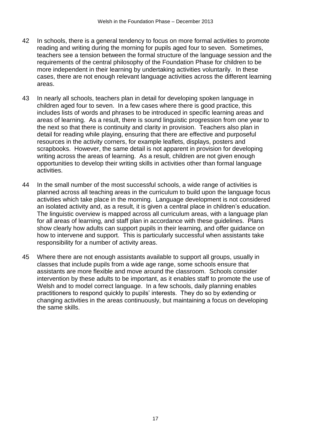- 42 In schools, there is a general tendency to focus on more formal activities to promote reading and writing during the morning for pupils aged four to seven. Sometimes, teachers see a tension between the formal structure of the language session and the requirements of the central philosophy of the Foundation Phase for children to be more independent in their learning by undertaking activities voluntarily. In these cases, there are not enough relevant language activities across the different learning areas.
- 43 In nearly all schools, teachers plan in detail for developing spoken language in children aged four to seven. In a few cases where there is good practice, this includes lists of words and phrases to be introduced in specific learning areas and areas of learning. As a result, there is sound linguistic progression from one year to the next so that there is continuity and clarity in provision. Teachers also plan in detail for reading while playing, ensuring that there are effective and purposeful resources in the activity corners, for example leaflets, displays, posters and scrapbooks. However, the same detail is not apparent in provision for developing writing across the areas of learning. As a result, children are not given enough opportunities to develop their writing skills in activities other than formal language activities.
- 44 In the small number of the most successful schools, a wide range of activities is planned across all teaching areas in the curriculum to build upon the language focus activities which take place in the morning. Language development is not considered an isolated activity and, as a result, it is given a central place in children's education. The linguistic overview is mapped across all curriculum areas, with a language plan for all areas of learning, and staff plan in accordance with these guidelines. Plans show clearly how adults can support pupils in their learning, and offer guidance on how to intervene and support. This is particularly successful when assistants take responsibility for a number of activity areas.
- 45 Where there are not enough assistants available to support all groups, usually in classes that include pupils from a wide age range, some schools ensure that assistants are more flexible and move around the classroom. Schools consider intervention by these adults to be important, as it enables staff to promote the use of Welsh and to model correct language. In a few schools, daily planning enables practitioners to respond quickly to pupils' interests. They do so by extending or changing activities in the areas continuously, but maintaining a focus on developing the same skills.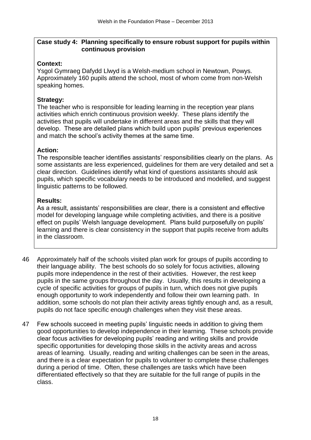#### **Case study 4: Planning specifically to ensure robust support for pupils within continuous provision**

# **Context:**

Ysgol Gymraeg Dafydd Llwyd is a Welsh-medium school in Newtown, Powys. Approximately 160 pupils attend the school, most of whom come from non-Welsh speaking homes.

# **Strategy:**

The teacher who is responsible for leading learning in the reception year plans activities which enrich continuous provision weekly. These plans identify the activities that pupils will undertake in different areas and the skills that they will develop. These are detailed plans which build upon pupils' previous experiences and match the school's activity themes at the same time.

# **Action:**

The responsible teacher identifies assistants' responsibilities clearly on the plans. As some assistants are less experienced, guidelines for them are very detailed and set a clear direction. Guidelines identify what kind of questions assistants should ask pupils, which specific vocabulary needs to be introduced and modelled, and suggest linguistic patterns to be followed.

# **Results:**

As a result, assistants' responsibilities are clear, there is a consistent and effective model for developing language while completing activities, and there is a positive effect on pupils' Welsh language development. Plans build purposefully on pupils' learning and there is clear consistency in the support that pupils receive from adults in the classroom.

- 46 Approximately half of the schools visited plan work for groups of pupils according to their language ability. The best schools do so solely for focus activities, allowing pupils more independence in the rest of their activities. However, the rest keep pupils in the same groups throughout the day. Usually, this results in developing a cycle of specific activities for groups of pupils in turn, which does not give pupils enough opportunity to work independently and follow their own learning path. In addition, some schools do not plan their activity areas tightly enough and, as a result, pupils do not face specific enough challenges when they visit these areas.
- 47 Few schools succeed in meeting pupils' linguistic needs in addition to giving them good opportunities to develop independence in their learning. These schools provide clear focus activities for developing pupils' reading and writing skills and provide specific opportunities for developing those skills in the activity areas and across areas of learning. Usually, reading and writing challenges can be seen in the areas, and there is a clear expectation for pupils to volunteer to complete these challenges during a period of time. Often, these challenges are tasks which have been differentiated effectively so that they are suitable for the full range of pupils in the class.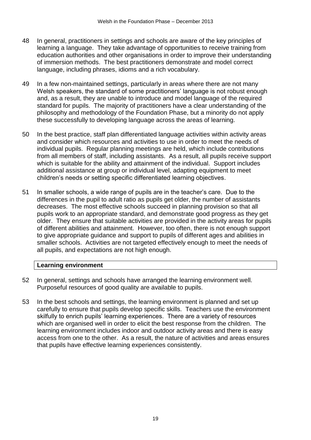- 48 In general, practitioners in settings and schools are aware of the key principles of learning a language. They take advantage of opportunities to receive training from education authorities and other organisations in order to improve their understanding of immersion methods. The best practitioners demonstrate and model correct language, including phrases, idioms and a rich vocabulary.
- 49 In a few non-maintained settings, particularly in areas where there are not many Welsh speakers, the standard of some practitioners' language is not robust enough and, as a result, they are unable to introduce and model language of the required standard for pupils. The majority of practitioners have a clear understanding of the philosophy and methodology of the Foundation Phase, but a minority do not apply these successfully to developing language across the areas of learning.
- 50 In the best practice, staff plan differentiated language activities within activity areas and consider which resources and activities to use in order to meet the needs of individual pupils. Regular planning meetings are held, which include contributions from all members of staff, including assistants. As a result, all pupils receive support which is suitable for the ability and attainment of the individual. Support includes additional assistance at group or individual level, adapting equipment to meet children's needs or setting specific differentiated learning objectives.
- 51 In smaller schools, a wide range of pupils are in the teacher's care. Due to the differences in the pupil to adult ratio as pupils get older, the number of assistants decreases. The most effective schools succeed in planning provision so that all pupils work to an appropriate standard, and demonstrate good progress as they get older. They ensure that suitable activities are provided in the activity areas for pupils of different abilities and attainment. However, too often, there is not enough support to give appropriate guidance and support to pupils of different ages and abilities in smaller schools. Activities are not targeted effectively enough to meet the needs of all pupils, and expectations are not high enough.

# **Learning environment**

- 52 In general, settings and schools have arranged the learning environment well. Purposeful resources of good quality are available to pupils.
- 53 In the best schools and settings, the learning environment is planned and set up carefully to ensure that pupils develop specific skills. Teachers use the environment skilfully to enrich pupils' learning experiences. There are a variety of resources which are organised well in order to elicit the best response from the children. The learning environment includes indoor and outdoor activity areas and there is easy access from one to the other. As a result, the nature of activities and areas ensures that pupils have effective learning experiences consistently.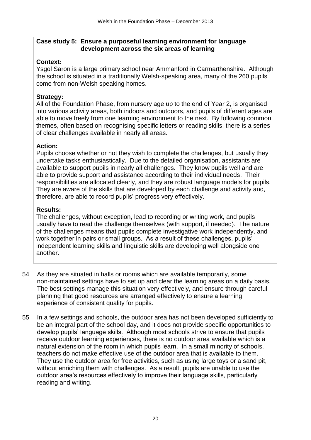#### **Case study 5: Ensure a purposeful learning environment for language development across the six areas of learning**

# **Context:**

Ysgol Saron is a large primary school near Ammanford in Carmarthenshire. Although the school is situated in a traditionally Welsh-speaking area, many of the 260 pupils come from non-Welsh speaking homes.

# **Strategy:**

All of the Foundation Phase, from nursery age up to the end of Year 2, is organised into various activity areas, both indoors and outdoors, and pupils of different ages are able to move freely from one learning environment to the next. By following common themes, often based on recognising specific letters or reading skills, there is a series of clear challenges available in nearly all areas.

# **Action:**

Pupils choose whether or not they wish to complete the challenges, but usually they undertake tasks enthusiastically. Due to the detailed organisation, assistants are available to support pupils in nearly all challenges. They know pupils well and are able to provide support and assistance according to their individual needs. Their responsibilities are allocated clearly, and they are robust language models for pupils. They are aware of the skills that are developed by each challenge and activity and, therefore, are able to record pupils' progress very effectively.

# **Results:**

The challenges, without exception, lead to recording or writing work, and pupils usually have to read the challenge themselves (with support, if needed). The nature of the challenges means that pupils complete investigative work independently, and work together in pairs or small groups. As a result of these challenges, pupils' independent learning skills and linguistic skills are developing well alongside one another.

- 54 As they are situated in halls or rooms which are available temporarily, some non-maintained settings have to set up and clear the learning areas on a daily basis. The best settings manage this situation very effectively, and ensure through careful planning that good resources are arranged effectively to ensure a learning experience of consistent quality for pupils.
- 55 In a few settings and schools, the outdoor area has not been developed sufficiently to be an integral part of the school day, and it does not provide specific opportunities to develop pupils' language skills. Although most schools strive to ensure that pupils receive outdoor learning experiences, there is no outdoor area available which is a natural extension of the room in which pupils learn. In a small minority of schools, teachers do not make effective use of the outdoor area that is available to them. They use the outdoor area for free activities, such as using large toys or a sand pit, without enriching them with challenges. As a result, pupils are unable to use the outdoor area's resources effectively to improve their language skills, particularly reading and writing.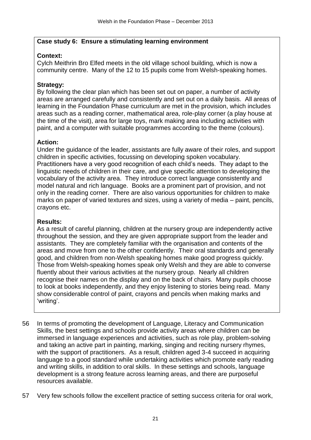#### **Case study 6: Ensure a stimulating learning environment**

# **Context:**

Cylch Meithrin Bro Elfed meets in the old village school building, which is now a community centre. Many of the 12 to 15 pupils come from Welsh-speaking homes.

# **Strategy:**

By following the clear plan which has been set out on paper, a number of activity areas are arranged carefully and consistently and set out on a daily basis. All areas of learning in the Foundation Phase curriculum are met in the provision, which includes areas such as a reading corner, mathematical area, role-play corner (a play house at the time of the visit), area for large toys, mark making area including activities with paint, and a computer with suitable programmes according to the theme (colours).

#### **Action:**

Under the guidance of the leader, assistants are fully aware of their roles, and support children in specific activities, focussing on developing spoken vocabulary. Practitioners have a very good recognition of each child's needs. They adapt to the linguistic needs of children in their care, and give specific attention to developing the vocabulary of the activity area. They introduce correct language consistently and model natural and rich language. Books are a prominent part of provision, and not only in the reading corner. There are also various opportunities for children to make marks on paper of varied textures and sizes, using a variety of media – paint, pencils, crayons etc.

#### **Results:**

As a result of careful planning, children at the nursery group are independently active throughout the session, and they are given appropriate support from the leader and assistants. They are completely familiar with the organisation and contents of the areas and move from one to the other confidently. Their oral standards and generally good, and children from non-Welsh speaking homes make good progress quickly. Those from Welsh-speaking homes speak only Welsh and they are able to converse fluently about their various activities at the nursery group. Nearly all children recognise their names on the display and on the back of chairs. Many pupils choose to look at books independently, and they enjoy listening to stories being read. Many show considerable control of paint, crayons and pencils when making marks and 'writing'.

- 56 In terms of promoting the development of Language, Literacy and Communication Skills, the best settings and schools provide activity areas where children can be immersed in language experiences and activities, such as role play, problem-solving and taking an active part in painting, marking, singing and reciting nursery rhymes, with the support of practitioners. As a result, children aged 3-4 succeed in acquiring language to a good standard while undertaking activities which promote early reading and writing skills, in addition to oral skills. In these settings and schools, language development is a strong feature across learning areas, and there are purposeful resources available.
- 57 Very few schools follow the excellent practice of setting success criteria for oral work,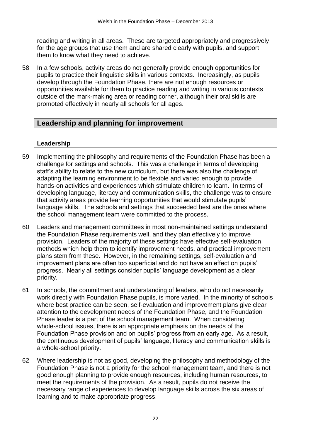reading and writing in all areas. These are targeted appropriately and progressively for the age groups that use them and are shared clearly with pupils, and support them to know what they need to achieve.

58 In a few schools, activity areas do not generally provide enough opportunities for pupils to practice their linguistic skills in various contexts. Increasingly, as pupils develop through the Foundation Phase, there are not enough resources or opportunities available for them to practice reading and writing in various contexts outside of the mark-making area or reading corner, although their oral skills are promoted effectively in nearly all schools for all ages.

# **Leadership and planning for improvement**

# **Leadership**

- 59 Implementing the philosophy and requirements of the Foundation Phase has been a challenge for settings and schools. This was a challenge in terms of developing staff's ability to relate to the new curriculum, but there was also the challenge of adapting the learning environment to be flexible and varied enough to provide hands-on activities and experiences which stimulate children to learn. In terms of developing language, literacy and communication skills, the challenge was to ensure that activity areas provide learning opportunities that would stimulate pupils' language skills. The schools and settings that succeeded best are the ones where the school management team were committed to the process.
- 60 Leaders and management committees in most non-maintained settings understand the Foundation Phase requirements well, and they plan effectively to improve provision. Leaders of the majority of these settings have effective self-evaluation methods which help them to identify improvement needs, and practical improvement plans stem from these. However, in the remaining settings, self-evaluation and improvement plans are often too superficial and do not have an effect on pupils' progress. Nearly all settings consider pupils' language development as a clear priority.
- 61 In schools, the commitment and understanding of leaders, who do not necessarily work directly with Foundation Phase pupils, is more varied. In the minority of schools where best practice can be seen, self-evaluation and improvement plans give clear attention to the development needs of the Foundation Phase, and the Foundation Phase leader is a part of the school management team. When considering whole-school issues, there is an appropriate emphasis on the needs of the Foundation Phase provision and on pupils' progress from an early age. As a result, the continuous development of pupils' language, literacy and communication skills is a whole-school priority.
- 62 Where leadership is not as good, developing the philosophy and methodology of the Foundation Phase is not a priority for the school management team, and there is not good enough planning to provide enough resources, including human resources, to meet the requirements of the provision. As a result, pupils do not receive the necessary range of experiences to develop language skills across the six areas of learning and to make appropriate progress.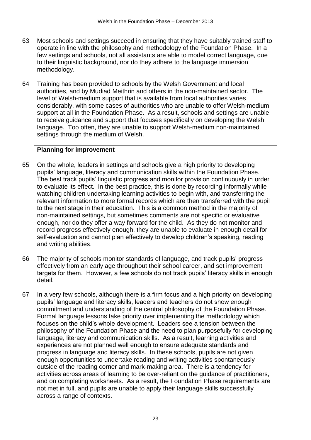- 63 Most schools and settings succeed in ensuring that they have suitably trained staff to operate in line with the philosophy and methodology of the Foundation Phase. In a few settings and schools, not all assistants are able to model correct language, due to their linguistic background, nor do they adhere to the language immersion methodology.
- 64 Training has been provided to schools by the Welsh Government and local authorities, and by Mudiad Meithrin and others in the non-maintained sector. The level of Welsh-medium support that is available from local authorities varies considerably, with some cases of authorities who are unable to offer Welsh-medium support at all in the Foundation Phase. As a result, schools and settings are unable to receive guidance and support that focuses specifically on developing the Welsh language. Too often, they are unable to support Welsh-medium non-maintained settings through the medium of Welsh.

#### **Planning for improvement**

- 65 On the whole, leaders in settings and schools give a high priority to developing pupils' language, literacy and communication skills within the Foundation Phase. The best track pupils' linguistic progress and monitor provision continuously in order to evaluate its effect. In the best practice, this is done by recording informally while watching children undertaking learning activities to begin with, and transferring the relevant information to more formal records which are then transferred with the pupil to the next stage in their education. This is a common method in the majority of non-maintained settings, but sometimes comments are not specific or evaluative enough, nor do they offer a way forward for the child. As they do not monitor and record progress effectively enough, they are unable to evaluate in enough detail for self-evaluation and cannot plan effectively to develop children's speaking, reading and writing abilities.
- 66 The majority of schools monitor standards of language, and track pupils' progress effectively from an early age throughout their school career, and set improvement targets for them. However, a few schools do not track pupils' literacy skills in enough detail.
- 67 In a very few schools, although there is a firm focus and a high priority on developing pupils' language and literacy skills, leaders and teachers do not show enough commitment and understanding of the central philosophy of the Foundation Phase. Formal language lessons take priority over implementing the methodology which focuses on the child's whole development. Leaders see a tension between the philosophy of the Foundation Phase and the need to plan purposefully for developing language, literacy and communication skills. As a result, learning activities and experiences are not planned well enough to ensure adequate standards and progress in language and literacy skills. In these schools, pupils are not given enough opportunities to undertake reading and writing activities spontaneously outside of the reading corner and mark-making area. There is a tendency for activities across areas of learning to be over-reliant on the guidance of practitioners, and on completing worksheets. As a result, the Foundation Phase requirements are not met in full, and pupils are unable to apply their language skills successfully across a range of contexts.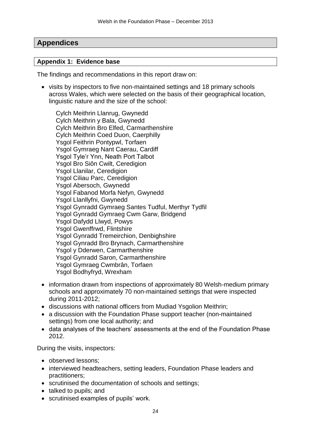# **Appendices**

#### **Appendix 1: Evidence base**

The findings and recommendations in this report draw on:

• visits by inspectors to five non-maintained settings and 18 primary schools across Wales, which were selected on the basis of their geographical location, linguistic nature and the size of the school:

Cylch Meithrin Llanrug, Gwynedd Cylch Meithrin y Bala, Gwynedd Cylch Meithrin Bro Elfed, Carmarthenshire Cylch Meithrin Coed Duon, Caerphilly Ysgol Feithrin Pontypwl, Torfaen Ysgol Gymraeg Nant Caerau, Cardiff Ysgol Tyle'r Ynn, Neath Port Talbot Ysgol Bro Siôn Cwilt, Ceredigion Ysgol Llanilar, Ceredigion Ysgol Ciliau Parc, Ceredigion Ysgol Abersoch, Gwynedd Ysgol Fabanod Morfa Nefyn, Gwynedd Ysgol Llanllyfni, Gwynedd Ysgol Gynradd Gymraeg Santes Tudful, Merthyr Tydfil Ysgol Gynradd Gymraeg Cwm Garw, Bridgend Ysgol Dafydd Llwyd, Powys Ysgol Gwenffrwd, Flintshire Ysgol Gynradd Tremeirchion, Denbighshire Ysgol Gynradd Bro Brynach, Carmarthenshire Ysgol y Dderwen, Carmarthenshire Ysgol Gynradd Saron, Carmarthenshire Ysgol Gymraeg Cwmbrân, Torfaen Ysgol Bodhyfryd, Wrexham

- information drawn from inspections of approximately 80 Welsh-medium primary schools and approximately 70 non-maintained settings that were inspected during 2011-2012;
- discussions with national officers from Mudiad Ysgolion Meithrin;
- a discussion with the Foundation Phase support teacher (non-maintained settings) from one local authority; and
- data analyses of the teachers' assessments at the end of the Foundation Phase 2012.

During the visits, inspectors:

- observed lessons:
- interviewed headteachers, setting leaders, Foundation Phase leaders and practitioners;
- scrutinised the documentation of schools and settings;
- talked to pupils; and
- scrutinised examples of pupils' work.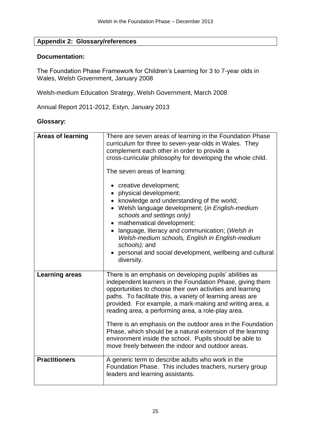# **Appendix 2: Glossary/references**

#### **Documentation:**

The Foundation Phase Framework for Children's Learning for 3 to 7-year olds in Wales, Welsh Government, January 2008

Welsh-medium Education Strategy, Welsh Government, March 2008

Annual Report 2011-2012, Estyn, January 2013

#### **Glossary:**

| <b>Areas of learning</b> | There are seven areas of learning in the Foundation Phase<br>curriculum for three to seven-year-olds in Wales. They<br>complement each other in order to provide a<br>cross-curricular philosophy for developing the whole child.<br>The seven areas of learning:<br>• creative development;<br>• physical development;<br>knowledge and understanding of the world;<br>• Welsh language development; (in English-medium<br>schools and settings only)<br>mathematical development;<br>language, literacy and communication; (Welsh in<br>Welsh-medium schools, English in English-medium<br>schools); and<br>personal and social development, wellbeing and cultural<br>diversity. |
|--------------------------|-------------------------------------------------------------------------------------------------------------------------------------------------------------------------------------------------------------------------------------------------------------------------------------------------------------------------------------------------------------------------------------------------------------------------------------------------------------------------------------------------------------------------------------------------------------------------------------------------------------------------------------------------------------------------------------|
| <b>Learning areas</b>    | There is an emphasis on developing pupils' abilities as<br>independent learners in the Foundation Phase, giving them<br>opportunities to choose their own activities and learning<br>paths. To facilitate this, a variety of learning areas are<br>provided. For example, a mark-making and writing area, a<br>reading area, a performing area, a role-play area.<br>There is an emphasis on the outdoor area in the Foundation<br>Phase, which should be a natural extension of the learning<br>environment inside the school. Pupils should be able to<br>move freely between the indoor and outdoor areas.                                                                       |
| <b>Practitioners</b>     | A generic term to describe adults who work in the<br>Foundation Phase. This includes teachers, nursery group<br>leaders and learning assistants.                                                                                                                                                                                                                                                                                                                                                                                                                                                                                                                                    |